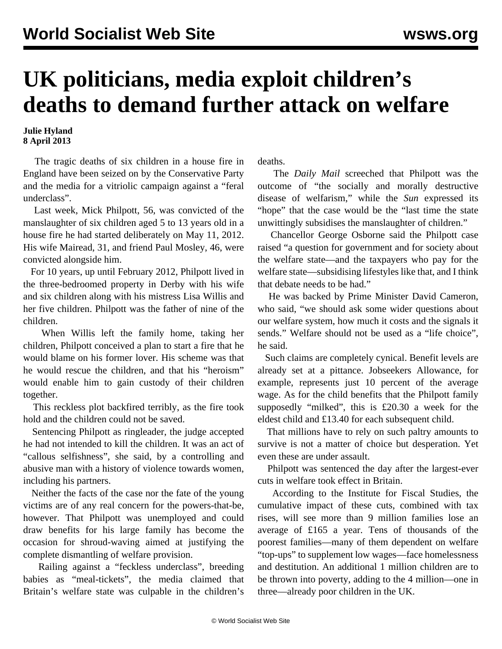## **UK politicians, media exploit children's deaths to demand further attack on welfare**

## **Julie Hyland 8 April 2013**

 The tragic deaths of six children in a house fire in England have been seized on by the Conservative Party and the media for a vitriolic campaign against a "feral underclass".

 Last week, Mick Philpott, 56, was convicted of the manslaughter of six children aged 5 to 13 years old in a house fire he had started deliberately on May 11, 2012. His wife Mairead, 31, and friend Paul Mosley, 46, were convicted alongside him.

 For 10 years, up until February 2012, Philpott lived in the three-bedroomed property in Derby with his wife and six children along with his mistress Lisa Willis and her five children. Philpott was the father of nine of the children.

 When Willis left the family home, taking her children, Philpott conceived a plan to start a fire that he would blame on his former lover. His scheme was that he would rescue the children, and that his "heroism" would enable him to gain custody of their children together.

 This reckless plot backfired terribly, as the fire took hold and the children could not be saved.

 Sentencing Philpott as ringleader, the judge accepted he had not intended to kill the children. It was an act of "callous selfishness", she said, by a controlling and abusive man with a history of violence towards women, including his partners.

 Neither the facts of the case nor the fate of the young victims are of any real concern for the powers-that-be, however. That Philpott was unemployed and could draw benefits for his large family has become the occasion for shroud-waving aimed at justifying the complete dismantling of welfare provision.

 Railing against a "feckless underclass", breeding babies as "meal-tickets", the media claimed that Britain's welfare state was culpable in the children's

deaths.

 The *Daily Mail* screeched that Philpott was the outcome of "the socially and morally destructive disease of welfarism," while the *Sun* expressed its "hope" that the case would be the "last time the state unwittingly subsidises the manslaughter of children."

 Chancellor George Osborne said the Philpott case raised "a question for government and for society about the welfare state—and the taxpayers who pay for the welfare state—subsidising lifestyles like that, and I think that debate needs to be had."

 He was backed by Prime Minister David Cameron, who said, "we should ask some wider questions about our welfare system, how much it costs and the signals it sends." Welfare should not be used as a "life choice", he said.

 Such claims are completely cynical. Benefit levels are already set at a pittance. Jobseekers Allowance, for example, represents just 10 percent of the average wage. As for the child benefits that the Philpott family supposedly "milked", this is £20.30 a week for the eldest child and £13.40 for each subsequent child.

 That millions have to rely on such paltry amounts to survive is not a matter of choice but desperation. Yet even these are under assault.

 Philpott was sentenced the day after the largest-ever cuts in welfare took effect in Britain.

 According to the Institute for Fiscal Studies, the cumulative impact of these cuts, combined with tax rises, will see more than 9 million families lose an average of £165 a year. Tens of thousands of the poorest families—many of them dependent on welfare "top-ups" to supplement low wages—face homelessness and destitution. An additional 1 million children are to be thrown into poverty, adding to the 4 million—one in three—already poor children in the UK.